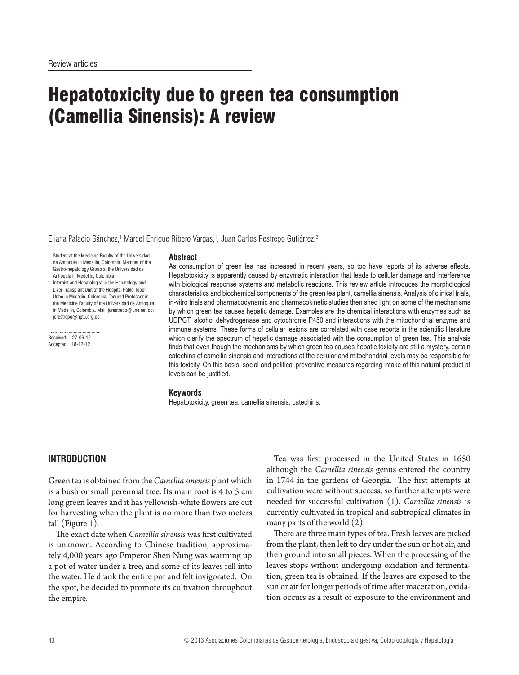# Hepatotoxicity due to green tea consumption (Camellia Sinensis): A review

Eliana Palacio Sánchez,<sup>1</sup> Marcel Enrique Ribero Vargas,<sup>1</sup>, Juan Carlos Restrepo Gutiérrez.<sup>2</sup>

- 1 Student at the Medicine Faculty of the Universidad de Antioquia in Medellín, Colombia. Member of the Gastro-hepatology Group at the Universidad de Antioquia in Medellín, Colombia
- 2 Internist and Hepatologist in the Hepatology and Liver Transplant Unit of the Hospital Pablo Tobón Uribe in Medellín, Colombia. Tenured Professor in the Medicine Faculty of the Universidad de Antioquia in Medellín, Colombia. Mail: jcrestrepo@une.net.co; jcrestrepo@hptu.org.co

......................................... Received: 27-06-12 Accepted: 18-12-12

#### **Abstract**

As consumption of green tea has increased in recent years, so too have reports of its adverse effects. Hepatotoxicity is apparently caused by enzymatic interaction that leads to cellular damage and interference with biological response systems and metabolic reactions. This review article introduces the morphological characteristics and biochemical components of the green tea plant, camellia sinensis. Analysis of clinical trials, in-vitro trials and pharmacodynamic and pharmacokinetic studies then shed light on some of the mechanisms by which green tea causes hepatic damage. Examples are the chemical interactions with enzymes such as UDPGT, alcohol dehydrogenase and cytochrome P450 and interactions with the mitochondrial enzyme and immune systems. These forms of cellular lesions are correlated with case reports in the scientific literature which clarify the spectrum of hepatic damage associated with the consumption of green tea. This analysis finds that even though the mechanisms by which green tea causes hepatic toxicity are still a mystery, certain catechins of camellia sinensis and interactions at the cellular and mitochondrial levels may be responsible for this toxicity. On this basis, social and political preventive measures regarding intake of this natural product at levels can be justified.

#### **Keywords**

Hepatotoxicity, green tea, camellia sinensis, catechins.

# **INTRODUCTION**

Green tea is obtained from the *Camellia sinensis* plant which is a bush or small perennial tree. Its main root is 4 to 5 cm long green leaves and it has yellowish-white flowers are cut for harvesting when the plant is no more than two meters tall (Figure 1).

The exact date when *Camellia sinensis* was first cultivated is unknown. According to Chinese tradition, approximately 4,000 years ago Emperor Shen Nung was warming up a pot of water under a tree, and some of its leaves fell into the water. He drank the entire pot and felt invigorated. On the spot, he decided to promote its cultivation throughout the empire.

Tea was first processed in the United States in 1650 although the *Camellia sinensis* genus entered the country in 1744 in the gardens of Georgia. The first attempts at cultivation were without success, so further attempts were needed for successful cultivation (1). *Camellia sinensis* is currently cultivated in tropical and subtropical climates in many parts of the world (2).

There are three main types of tea. Fresh leaves are picked from the plant, then left to dry under the sun or hot air, and then ground into small pieces. When the processing of the leaves stops without undergoing oxidation and fermentation, green tea is obtained. If the leaves are exposed to the sun or air for longer periods of time after maceration, oxidation occurs as a result of exposure to the environment and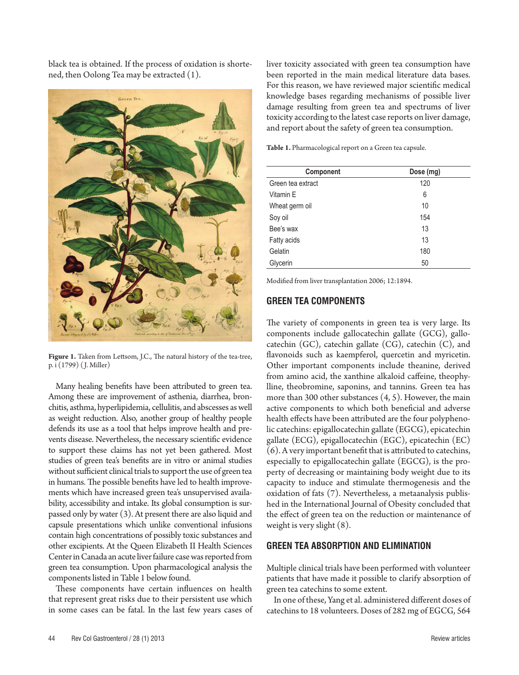black tea is obtained. If the process of oxidation is shortened, then Oolong Tea may be extracted (1).



**Figure 1.** Taken from Lettsom, J.C., The natural history of the tea-tree, p. i (1799) ( J. Miller)

Many healing benefits have been attributed to green tea. Among these are improvement of asthenia, diarrhea, bronchitis, asthma, hyperlipidemia, cellulitis, and abscesses as well as weight reduction. Also, another group of healthy people defends its use as a tool that helps improve health and prevents disease. Nevertheless, the necessary scientific evidence to support these claims has not yet been gathered. Most studies of green tea's benefits are in vitro or animal studies without sufficient clinical trials to support the use of green tea in humans. The possible benefits have led to health improvements which have increased green tea's unsupervised availability, accessibility and intake. Its global consumption is surpassed only by water (3). At present there are also liquid and capsule presentations which unlike conventional infusions contain high concentrations of possibly toxic substances and other excipients. At the Queen Elizabeth II Health Sciences Center in Canada an acute liver failure case was reported from green tea consumption. Upon pharmacological analysis the components listed in Table 1 below found.

These components have certain influences on health that represent great risks due to their persistent use which in some cases can be fatal. In the last few years cases of liver toxicity associated with green tea consumption have been reported in the main medical literature data bases. For this reason, we have reviewed major scientific medical knowledge bases regarding mechanisms of possible liver damage resulting from green tea and spectrums of liver toxicity according to the latest case reports on liver damage, and report about the safety of green tea consumption.

**Table 1.** Pharmacological report on a Green tea capsule.

| Component         | Dose (mg) |
|-------------------|-----------|
| Green tea extract | 120       |
| Vitamin E         | 6         |
| Wheat germ oil    | 10        |
| Soy oil           | 154       |
| Bee's wax         | 13        |
| Fatty acids       | 13        |
| Gelatin           | 180       |
| Glycerin          | 50        |

Modified from liver transplantation 2006; 12:1894.

### **GREEN TEA COMPONENTS**

The variety of components in green tea is very large. Its components include gallocatechin gallate (GCG), gallocatechin (GC), catechin gallate (CG), catechin (C), and flavonoids such as kaempferol, quercetin and myricetin. Other important components include theanine, derived from amino acid, the xanthine alkaloid caffeine, theophylline, theobromine, saponins, and tannins. Green tea has more than 300 other substances (4, 5). However, the main active components to which both beneficial and adverse health effects have been attributed are the four polyphenolic catechins: epigallocatechin gallate (EGCG), epicatechin gallate (ECG), epigallocatechin (EGC), epicatechin (EC) (6). A very important benefit that is attributed to catechins, especially to epigallocatechin gallate (EGCG), is the property of decreasing or maintaining body weight due to its capacity to induce and stimulate thermogenesis and the oxidation of fats (7). Nevertheless, a metaanalysis published in the International Journal of Obesity concluded that the effect of green tea on the reduction or maintenance of weight is very slight (8).

#### **GREEN TEA ABSORPTION AND ELIMINATION**

Multiple clinical trials have been performed with volunteer patients that have made it possible to clarify absorption of green tea catechins to some extent.

In one of these, Yang et al. administered different doses of catechins to 18 volunteers. Doses of 282 mg of EGCG, 564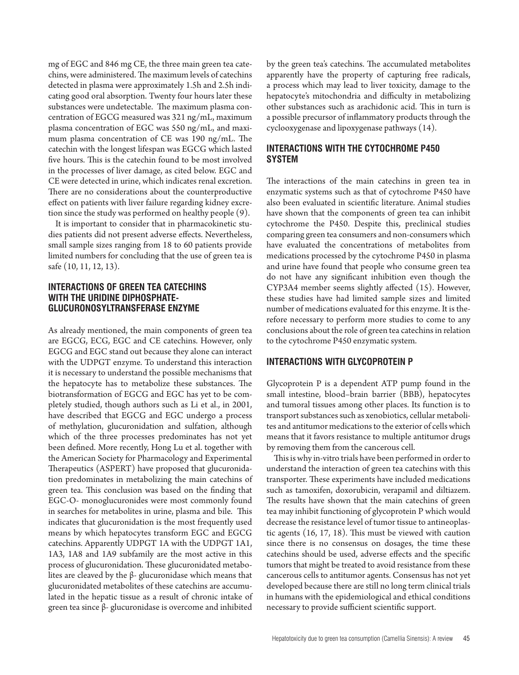mg of EGC and 846 mg CE, the three main green tea catechins, were administered. The maximum levels of catechins detected in plasma were approximately 1.5h and 2.5h indicating good oral absorption. Twenty four hours later these substances were undetectable. The maximum plasma concentration of EGCG measured was 321 ng/mL, maximum plasma concentration of EGC was 550 ng/mL, and maximum plasma concentration of CE was 190 ng/mL. The catechin with the longest lifespan was EGCG which lasted five hours. This is the catechin found to be most involved in the processes of liver damage, as cited below. EGC and CE were detected in urine, which indicates renal excretion. There are no considerations about the counterproductive effect on patients with liver failure regarding kidney excretion since the study was performed on healthy people (9).

It is important to consider that in pharmacokinetic studies patients did not present adverse effects. Nevertheless, small sample sizes ranging from 18 to 60 patients provide limited numbers for concluding that the use of green tea is safe (10, 11, 12, 13).

## **INTERACTIONS OF GREEN TEA CATECHINS WITH THE URIDINE DIPHOSPHATE-GLUCURONOSYLTRANSFERASE ENZYME**

As already mentioned, the main components of green tea are EGCG, ECG, EGC and CE catechins. However, only EGCG and EGC stand out because they alone can interact with the UDPGT enzyme. To understand this interaction it is necessary to understand the possible mechanisms that the hepatocyte has to metabolize these substances. The biotransformation of EGCG and EGC has yet to be completely studied, though authors such as Li et al., in 2001, have described that EGCG and EGC undergo a process of methylation, glucuronidation and sulfation, although which of the three processes predominates has not yet been defined. More recently, Hong Lu et al. together with the American Society for Pharmacology and Experimental Therapeutics (ASPERT) have proposed that glucuronidation predominates in metabolizing the main catechins of green tea. This conclusion was based on the finding that EGC-O- monoglucuronides were most commonly found in searches for metabolites in urine, plasma and bile. This indicates that glucuronidation is the most frequently used means by which hepatocytes transform EGC and EGCG catechins. Apparently UDPGT 1A with the UDPGT 1A1, 1A3, 1A8 and 1A9 subfamily are the most active in this process of glucuronidation. These glucuronidated metabolites are cleaved by the  $β$ - glucuronidase which means that glucuronidated metabolites of these catechins are accumulated in the hepatic tissue as a result of chronic intake of green tea since β- glucuronidase is overcome and inhibited

by the green tea's catechins. The accumulated metabolites apparently have the property of capturing free radicals, a process which may lead to liver toxicity, damage to the hepatocyte's mitochondria and difficulty in metabolizing other substances such as arachidonic acid. This in turn is a possible precursor of inflammatory products through the cyclooxygenase and lipoxygenase pathways (14).

# **INTERACTIONS WITH THE CYTOCHROME P450 SYSTEM**

The interactions of the main catechins in green tea in enzymatic systems such as that of cytochrome P450 have also been evaluated in scientific literature. Animal studies have shown that the components of green tea can inhibit cytochrome the P450. Despite this, preclinical studies comparing green tea consumers and non-consumers which have evaluated the concentrations of metabolites from medications processed by the cytochrome P450 in plasma and urine have found that people who consume green tea do not have any significant inhibition even though the CYP3A4 member seems slightly affected (15). However, these studies have had limited sample sizes and limited number of medications evaluated for this enzyme. It is therefore necessary to perform more studies to come to any conclusions about the role of green tea catechins in relation to the cytochrome P450 enzymatic system.

# **INTERACTIONS WITH GLYCOPROTEIN P**

Glycoprotein P is a dependent ATP pump found in the small intestine, blood–brain barrier (BBB), hepatocytes and tumoral tissues among other places. Its function is to transport substances such as xenobiotics, cellular metabolites and antitumor medications to the exterior of cells which means that it favors resistance to multiple antitumor drugs by removing them from the cancerous cell.

This is why in-vitro trials have been performed in order to understand the interaction of green tea catechins with this transporter. These experiments have included medications such as tamoxifen, doxorubicin, verapamil and diltiazem. The results have shown that the main catechins of green tea may inhibit functioning of glycoprotein P which would decrease the resistance level of tumor tissue to antineoplastic agents (16, 17, 18). This must be viewed with caution since there is no consensus on dosages, the time these catechins should be used, adverse effects and the specific tumors that might be treated to avoid resistance from these cancerous cells to antitumor agents. Consensus has not yet developed because there are still no long term clinical trials in humans with the epidemiological and ethical conditions necessary to provide sufficient scientific support.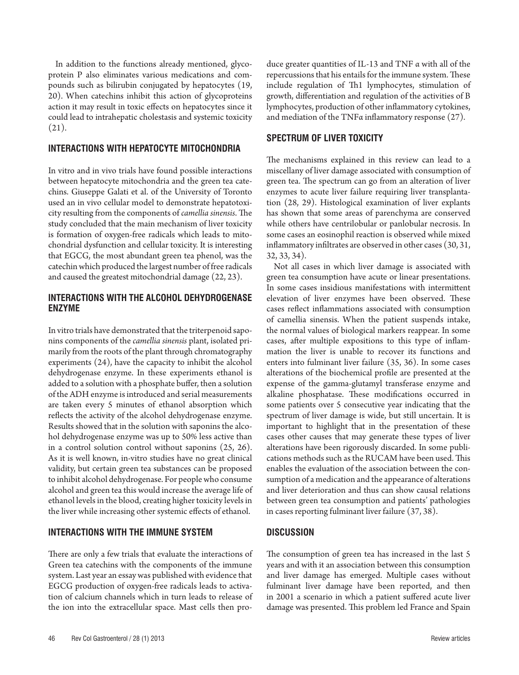In addition to the functions already mentioned, glycoprotein P also eliminates various medications and compounds such as bilirubin conjugated by hepatocytes (19, 20). When catechins inhibit this action of glycoproteins action it may result in toxic effects on hepatocytes since it could lead to intrahepatic cholestasis and systemic toxicity  $(21)$ .

## **INTERACTIONS WITH HEPATOCYTE MITOCHONDRIA**

In vitro and in vivo trials have found possible interactions between hepatocyte mitochondria and the green tea catechins. Giuseppe Galati et al. of the University of Toronto used an in vivo cellular model to demonstrate hepatotoxicity resulting from the components of *camellia sinensis*. The study concluded that the main mechanism of liver toxicity is formation of oxygen-free radicals which leads to mitochondrial dysfunction and cellular toxicity. It is interesting that EGCG, the most abundant green tea phenol, was the catechin which produced the largest number of free radicals and caused the greatest mitochondrial damage (22, 23).

# **INTERACTIONS WITH THE ALCOHOL DEHYDROGENASE ENZYME**

In vitro trials have demonstrated that the triterpenoid saponins components of the *camellia sinensis* plant, isolated primarily from the roots of the plant through chromatography experiments (24), have the capacity to inhibit the alcohol dehydrogenase enzyme. In these experiments ethanol is added to a solution with a phosphate buffer, then a solution of the ADH enzyme is introduced and serial measurements are taken every 5 minutes of ethanol absorption which reflects the activity of the alcohol dehydrogenase enzyme. Results showed that in the solution with saponins the alcohol dehydrogenase enzyme was up to 50% less active than in a control solution control without saponins (25, 26). As it is well known, in-vitro studies have no great clinical validity, but certain green tea substances can be proposed to inhibit alcohol dehydrogenase. For people who consume alcohol and green tea this would increase the average life of ethanol levels in the blood, creating higher toxicity levels in the liver while increasing other systemic effects of ethanol.

# **INTERACTIONS WITH THE IMMUNE SYSTEM**

There are only a few trials that evaluate the interactions of Green tea catechins with the components of the immune system. Last year an essay was published with evidence that EGCG production of oxygen-free radicals leads to activation of calcium channels which in turn leads to release of the ion into the extracellular space. Mast cells then produce greater quantities of IL-13 and TNF α with all of the repercussions that his entails for the immune system. These include regulation of Th1 lymphocytes, stimulation of growth, differentiation and regulation of the activities of B lymphocytes, production of other inflammatory cytokines, and mediation of the TNFα inflammatory response (27).

# **SPECTRUM OF LIVER TOXICITY**

The mechanisms explained in this review can lead to a miscellany of liver damage associated with consumption of green tea. The spectrum can go from an alteration of liver enzymes to acute liver failure requiring liver transplantation (28, 29). Histological examination of liver explants has shown that some areas of parenchyma are conserved while others have centrilobular or panlobular necrosis. In some cases an eosinophil reaction is observed while mixed inflammatory infiltrates are observed in other cases (30, 31, 32, 33, 34).

Not all cases in which liver damage is associated with green tea consumption have acute or linear presentations. In some cases insidious manifestations with intermittent elevation of liver enzymes have been observed. These cases reflect inflammations associated with consumption of camellia sinensis. When the patient suspends intake, the normal values of biological markers reappear. In some cases, after multiple expositions to this type of inflammation the liver is unable to recover its functions and enters into fulminant liver failure (35, 36). In some cases alterations of the biochemical profile are presented at the expense of the gamma-glutamyl transferase enzyme and alkaline phosphatase. These modifications occurred in some patients over 5 consecutive year indicating that the spectrum of liver damage is wide, but still uncertain. It is important to highlight that in the presentation of these cases other causes that may generate these types of liver alterations have been rigorously discarded. In some publications methods such as the RUCAM have been used. This enables the evaluation of the association between the consumption of a medication and the appearance of alterations and liver deterioration and thus can show causal relations between green tea consumption and patients' pathologies in cases reporting fulminant liver failure (37, 38).

# **DISCUSSION**

The consumption of green tea has increased in the last 5 years and with it an association between this consumption and liver damage has emerged. Multiple cases without fulminant liver damage have been reported, and then in 2001 a scenario in which a patient suffered acute liver damage was presented. This problem led France and Spain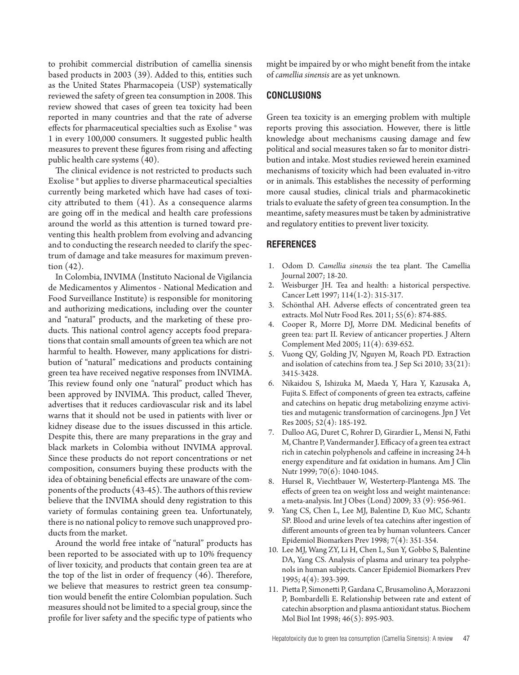to prohibit commercial distribution of camellia sinensis based products in 2003 (39). Added to this, entities such as the United States Pharmacopeia (USP) systematically reviewed the safety of green tea consumption in 2008. This review showed that cases of green tea toxicity had been reported in many countries and that the rate of adverse effects for pharmaceutical specialties such as Exolise ® was 1 in every 100,000 consumers. It suggested public health measures to prevent these figures from rising and affecting public health care systems (40).

The clinical evidence is not restricted to products such Exolise ® but applies to diverse pharmaceutical specialties currently being marketed which have had cases of toxicity attributed to them (41). As a consequence alarms are going off in the medical and health care professions around the world as this attention is turned toward preventing this health problem from evolving and advancing and to conducting the research needed to clarify the spectrum of damage and take measures for maximum prevention (42).

In Colombia, INVIMA (Instituto Nacional de Vigilancia de Medicamentos y Alimentos - National Medication and Food Surveillance Institute) is responsible for monitoring and authorizing medications, including over the counter and "natural" products, and the marketing of these products. This national control agency accepts food preparations that contain small amounts of green tea which are not harmful to health. However, many applications for distribution of "natural" medications and products containing green tea have received negative responses from INVIMA. This review found only one "natural" product which has been approved by INVIMA. This product, called Thever, advertises that it reduces cardiovascular risk and its label warns that it should not be used in patients with liver or kidney disease due to the issues discussed in this article. Despite this, there are many preparations in the gray and black markets in Colombia without INVIMA approval. Since these products do not report concentrations or net composition, consumers buying these products with the idea of obtaining beneficial effects are unaware of the components of the products (43-45). The authors of this review believe that the INVIMA should deny registration to this variety of formulas containing green tea. Unfortunately, there is no national policy to remove such unapproved products from the market.

Around the world free intake of "natural" products has been reported to be associated with up to 10% frequency of liver toxicity, and products that contain green tea are at the top of the list in order of frequency (46). Therefore, we believe that measures to restrict green tea consumption would benefit the entire Colombian population. Such measures should not be limited to a special group, since the profile for liver safety and the specific type of patients who might be impaired by or who might benefit from the intake of *camellia sinensis* are as yet unknown*.*

## **CONCLUSIONS**

Green tea toxicity is an emerging problem with multiple reports proving this association. However, there is little knowledge about mechanisms causing damage and few political and social measures taken so far to monitor distribution and intake. Most studies reviewed herein examined mechanisms of toxicity which had been evaluated in-vitro or in animals. This establishes the necessity of performing more causal studies, clinical trials and pharmacokinetic trials to evaluate the safety of green tea consumption. In the meantime, safety measures must be taken by administrative and regulatory entities to prevent liver toxicity.

#### **REFERENCES**

- 1. Odom D. *Camellia sinensis* the tea plant. The Camellia Journal 2007; 18-20.
- 2. Weisburger JH. Tea and health: a historical perspective. Cancer Lett 1997; 114(1-2): 315-317.
- 3. Schönthal AH. Adverse effects of concentrated green tea extracts. Mol Nutr Food Res. 2011; 55(6): 874-885.
- 4. Cooper R, Morre DJ, Morre DM. Medicinal benefits of green tea: part II. Review of anticancer properties. J Altern Complement Med 2005; 11(4): 639-652.
- 5. Vuong QV, Golding JV, Nguyen M, Roach PD. Extraction and isolation of catechins from tea. J Sep Sci 2010; 33(21): 3415-3428.
- 6. Nikaidou S, Ishizuka M, Maeda Y, Hara Y, Kazusaka A, Fujita S. Effect of components of green tea extracts, caffeine and catechins on hepatic drug metabolizing enzyme activities and mutagenic transformation of carcinogens. Jpn J Vet Res 2005; 52(4): 185-192.
- 7. Dulloo AG, Duret C, Rohrer D, Girardier L, Mensi N, Fathi M, Chantre P, Vandermander J. Efficacy of a green tea extract rich in catechin polyphenols and caffeine in increasing 24-h energy expenditure and fat oxidation in humans. Am J Clin Nutr 1999; 70(6): 1040-1045.
- 8. Hursel R, Viechtbauer W, Westerterp-Plantenga MS. The effects of green tea on weight loss and weight maintenance: a meta-analysis. Int J Obes (Lond) 2009; 33 (9): 956-961.
- 9. Yang CS, Chen L, Lee MJ, Balentine D, Kuo MC, Schantz SP. Blood and urine levels of tea catechins after ingestion of different amounts of green tea by human volunteers. Cancer Epidemiol Biomarkers Prev 1998; 7(4): 351-354.
- 10. Lee MJ, Wang ZY, Li H, Chen L, Sun Y, Gobbo S, Balentine DA, Yang CS. Analysis of plasma and urinary tea polyphenols in human subjects. Cancer Epidemiol Biomarkers Prev 1995; 4(4): 393-399.
- 11. Pietta P, Simonetti P, Gardana C, Brusamolino A, Morazzoni P, Bombardelli E. Relationship between rate and extent of catechin absorption and plasma antioxidant status. Biochem Mol Biol Int 1998; 46(5): 895-903.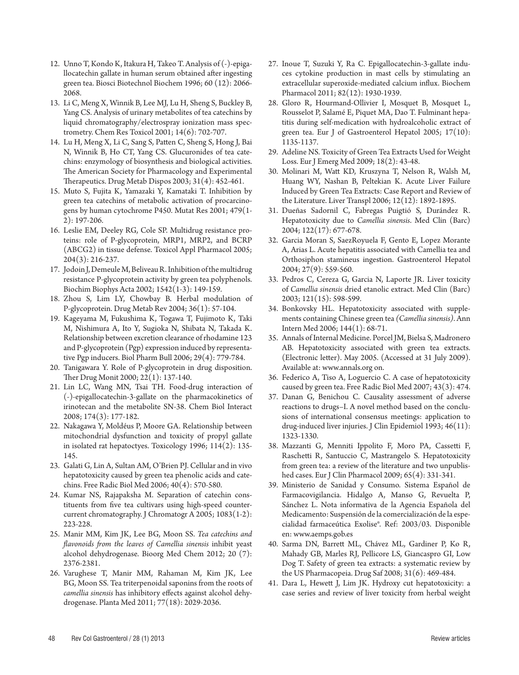- 12. Unno T, Kondo K, Itakura H, Takeo T. Analysis of (-)-epigallocatechin gallate in human serum obtained after ingesting green tea. Biosci Biotechnol Biochem 1996; 60 (12): 2066- 2068.
- 13. Li C, Meng X, Winnik B, Lee MJ, Lu H, Sheng S, Buckley B, Yang CS. Analysis of urinary metabolites of tea catechins by liquid chromatography/electrospray ionization mass spectrometry. Chem Res Toxicol 2001; 14(6): 702-707.
- 14. Lu H, Meng X, Li C, Sang S, Patten C, Sheng S, Hong J, Bai N, Winnik B, Ho CT, Yang CS. Glucuronides of tea catechins: enzymology of biosynthesis and biological activities. The American Society for Pharmacology and Experimental Therapeutics. Drug Metab Dispos 2003; 31(4): 452-461.
- 15. Muto S, Fujita K, Yamazaki Y, Kamataki T. Inhibition by green tea catechins of metabolic activation of procarcinogens by human cytochrome P450. Mutat Res 2001; 479(1- 2): 197-206.
- 16. Leslie EM, Deeley RG, Cole SP. Multidrug resistance proteins: role of P-glycoprotein, MRP1, MRP2, and BCRP (ABCG2) in tissue defense. Toxicol Appl Pharmacol 2005; 204(3): 216-237.
- 17. Jodoin J, Demeule M, Beliveau R. Inhibition of the multidrug resistance P-glycoprotein activity by green tea polyphenols. Biochim Biophys Acta 2002; 1542(1-3): 149-159.
- 18. Zhou S, Lim LY, Chowbay B. Herbal modulation of P-glycoprotein. Drug Metab Rev 2004; 36(1): 57-104.
- 19. Kageyama M, Fukushima K, Togawa T, Fujimoto K, Taki M, Nishimura A, Ito Y, Sugioka N, Shibata N, Takada K. Relationship between excretion clearance of rhodamine 123 and P-glycoprotein (Pgp) expression induced by representative Pgp inducers. Biol Pharm Bull 2006; 29(4): 779-784.
- 20. Tanigawara Y. Role of P-glycoprotein in drug disposition. Ther Drug Monit 2000; 22(1): 137-140.
- 21. Lin LC, Wang MN, Tsai TH. Food-drug interaction of (-)-epigallocatechin-3-gallate on the pharmacokinetics of irinotecan and the metabolite SN-38. Chem Biol Interact 2008; 174(3): 177-182.
- 22. Nakagawa Y, Moldéus P, Moore GA. Relationship between mitochondrial dysfunction and toxicity of propyl gallate in isolated rat hepatoctyes. Toxicology 1996; 114(2): 135- 145.
- 23. Galati G, Lin A, Sultan AM, O'Brien PJ. Cellular and in vivo hepatotoxicity caused by green tea phenolic acids and catechins. Free Radic Biol Med 2006; 40(4): 570-580.
- 24. Kumar NS, Rajapaksha M. Separation of catechin constituents from five tea cultivars using high-speed countercurrent chromatography. J Chromatogr A 2005; 1083(1-2): 223-228.
- 25. Manir MM, Kim JK, Lee BG, Moon SS. *Tea catechins and flavonoids from the leaves of Camellia sinensis* inhibit yeast alcohol dehydrogenase. Bioorg Med Chem 2012; 20 (7): 2376-2381.
- 26. Varughese T, Manir MM, Rahaman M, Kim JK, Lee BG, Moon SS. Tea triterpenoidal saponins from the roots of *camellia sinensis* has inhibitory effects against alcohol dehydrogenase. Planta Med 2011; 77(18): 2029-2036.
- 27. Inoue T, Suzuki Y, Ra C. Epigallocatechin-3-gallate induces cytokine production in mast cells by stimulating an extracellular superoxide-mediated calcium influx. Biochem Pharmacol 2011; 82(12): 1930-1939.
- 28. Gloro R, Hourmand-Ollivier I, Mosquet B, Mosquet L, Rousselot P, Salamé E, Piquet MA, Dao T. Fulminant hepatitis during self-medication with hydroalcoholic extract of green tea. Eur J of Gastroenterol Hepatol 2005;  $17(10)$ : 1135-1137.
- 29. Adeline NS. Toxicity of Green Tea Extracts Used for Weight Loss. Eur J Emerg Med 2009; 18(2): 43-48.
- 30. Molinari M, Watt KD, Kruszyna T, Nelson R, Walsh M, Huang WY, Nashan B, Peltekian K. Acute Liver Failure Induced by Green Tea Extracts: Case Report and Review of the Literature. Liver Transpl 2006; 12(12): 1892-1895.
- 31. Dueñas Sadornil C, Fabregas Puigtió S, Durández R. Hepatotoxicity due to *Camellia sinensis*. Med Clin (Barc) 2004; 122(17): 677-678.
- 32. Garcia Moran S, SaezRoyuela F, Gento E, Lopez Morante A, Arias L. Acute hepatitis associated with Camellia tea and Orthosiphon stamineus ingestion. Gastroenterol Hepatol 2004; 27(9): 559-560.
- 33. Pedros C, Cereza G, Garcia N, Laporte JR. Liver toxicity of *Camellia sinensis* dried etanolic extract. Med Clin (Barc) 2003; 121(15): 598-599.
- 34. Bonkovsky HL. Hepatotoxicity associated with supplements containing Chinese green tea *(Camellia sinensis)*. Ann Intern Med 2006; 144(1): 68-71.
- 35. Annals of Internal Medicine. Porcel JM, Bielsa S, Madronero AB. Hepatotoxicity associated with green tea extracts. (Electronic letter). May 2005. (Accessed at 31 July 2009). Available at: www.annals.org on.
- 36. Federico A, Tiso A, Loguercio C. A case of hepatotoxicity caused by green tea. Free Radic Biol Med 2007; 43(3): 474.
- 37. Danan G, Benichou C. Causality assessment of adverse reactions to drugs–I. A novel method based on the conclusions of international consensus meetings: application to drug-induced liver injuries. J Clin Epidemiol 1993; 46(11): 1323-1330.
- 38. Mazzanti G, Menniti Ippolito F, Moro PA, Cassetti F, Raschetti R, Santuccio C, Mastrangelo S. Hepatotoxicity from green tea: a review of the literature and two unpublished cases. Eur J Clin Pharmacol 2009; 65(4): 331-341.
- 39. Ministerio de Sanidad y Consumo. Sistema Español de Farmacovigilancia. Hidalgo A, Manso G, Revuelta P, Sánchez L. Nota informativa de la Agencia Española del Medicamento: Suspensión de la comercialización de la especialidad farmaceútica Exolise®. Ref: 2003/03. Disponible en: www.aemps.gob.es
- 40. Sarma DN, Barrett ML, Chávez ML, Gardiner P, Ko R, Mahady GB, Marles RJ, Pellicore LS, Giancaspro GI, Low Dog T. Safety of green tea extracts: a systematic review by the US Pharmacopeia. Drug Saf 2008; 31(6): 469-484.
- 41. Dara L, Hewett J, Lim JK. Hydroxy cut hepatotoxicity: a case series and review of liver toxicity from herbal weight